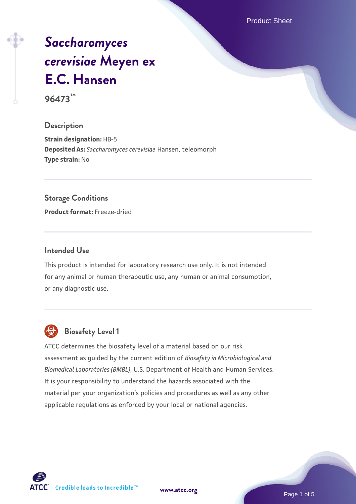Product Sheet

# *[Saccharomyces](https://www.atcc.org/products/96473) [cerevisiae](https://www.atcc.org/products/96473)* **[Meyen ex](https://www.atcc.org/products/96473) [E.C. Hansen](https://www.atcc.org/products/96473)**

**96473™**

## **Description**

**Strain designation:** HB-5 **Deposited As:** *Saccharomyces cerevisiae* Hansen, teleomorph **Type strain:** No

#### **Storage Conditions**

**Product format:** Freeze-dried

#### **Intended Use**

This product is intended for laboratory research use only. It is not intended for any animal or human therapeutic use, any human or animal consumption, or any diagnostic use.



# **Biosafety Level 1**

ATCC determines the biosafety level of a material based on our risk assessment as guided by the current edition of *Biosafety in Microbiological and Biomedical Laboratories (BMBL)*, U.S. Department of Health and Human Services. It is your responsibility to understand the hazards associated with the material per your organization's policies and procedures as well as any other applicable regulations as enforced by your local or national agencies.

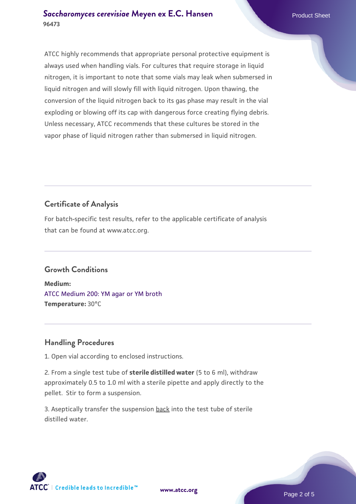ATCC highly recommends that appropriate personal protective equipment is always used when handling vials. For cultures that require storage in liquid nitrogen, it is important to note that some vials may leak when submersed in liquid nitrogen and will slowly fill with liquid nitrogen. Upon thawing, the conversion of the liquid nitrogen back to its gas phase may result in the vial exploding or blowing off its cap with dangerous force creating flying debris. Unless necessary, ATCC recommends that these cultures be stored in the vapor phase of liquid nitrogen rather than submersed in liquid nitrogen.

# **Certificate of Analysis**

For batch-specific test results, refer to the applicable certificate of analysis that can be found at www.atcc.org.

# **Growth Conditions**

**Medium:**  [ATCC Medium 200: YM agar or YM broth](https://www.atcc.org/-/media/product-assets/documents/microbial-media-formulations/2/0/0/atcc-medium-200.pdf?rev=ac40fd74dc13433a809367b0b9da30fc) **Temperature:** 30°C

# **Handling Procedures**

1. Open vial according to enclosed instructions.

2. From a single test tube of **sterile distilled water** (5 to 6 ml), withdraw approximately 0.5 to 1.0 ml with a sterile pipette and apply directly to the pellet. Stir to form a suspension.

3. Aseptically transfer the suspension back into the test tube of sterile distilled water.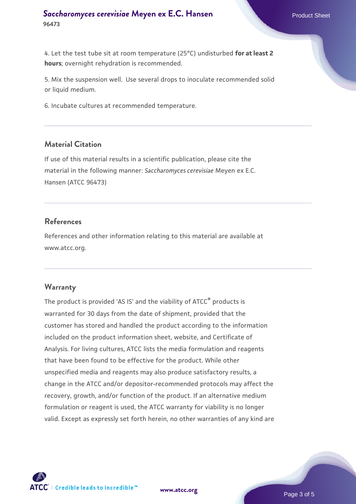#### **[Saccharomyces cerevisiae](https://www.atcc.org/products/96473)** [Meyen ex E.C. Hansen](https://www.atcc.org/products/96473) **96473**

4. Let the test tube sit at room temperature (25°C) undisturbed **for at least 2 hours**; overnight rehydration is recommended.

5. Mix the suspension well. Use several drops to inoculate recommended solid or liquid medium.

6. Incubate cultures at recommended temperature.

#### **Material Citation**

If use of this material results in a scientific publication, please cite the material in the following manner: *Saccharomyces cerevisiae* Meyen ex E.C. Hansen (ATCC 96473)

#### **References**

References and other information relating to this material are available at www.atcc.org.

#### **Warranty**

The product is provided 'AS IS' and the viability of ATCC® products is warranted for 30 days from the date of shipment, provided that the customer has stored and handled the product according to the information included on the product information sheet, website, and Certificate of Analysis. For living cultures, ATCC lists the media formulation and reagents that have been found to be effective for the product. While other unspecified media and reagents may also produce satisfactory results, a change in the ATCC and/or depositor-recommended protocols may affect the recovery, growth, and/or function of the product. If an alternative medium formulation or reagent is used, the ATCC warranty for viability is no longer valid. Except as expressly set forth herein, no other warranties of any kind are



**[www.atcc.org](http://www.atcc.org)**

Page 3 of 5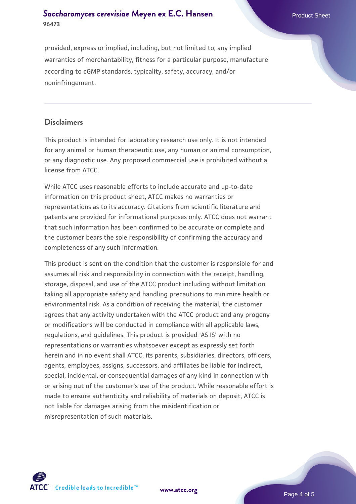### **[Saccharomyces cerevisiae](https://www.atcc.org/products/96473)** [Meyen ex E.C. Hansen](https://www.atcc.org/products/96473) **96473**

provided, express or implied, including, but not limited to, any implied warranties of merchantability, fitness for a particular purpose, manufacture according to cGMP standards, typicality, safety, accuracy, and/or noninfringement.

## **Disclaimers**

This product is intended for laboratory research use only. It is not intended for any animal or human therapeutic use, any human or animal consumption, or any diagnostic use. Any proposed commercial use is prohibited without a license from ATCC.

While ATCC uses reasonable efforts to include accurate and up-to-date information on this product sheet, ATCC makes no warranties or representations as to its accuracy. Citations from scientific literature and patents are provided for informational purposes only. ATCC does not warrant that such information has been confirmed to be accurate or complete and the customer bears the sole responsibility of confirming the accuracy and completeness of any such information.

This product is sent on the condition that the customer is responsible for and assumes all risk and responsibility in connection with the receipt, handling, storage, disposal, and use of the ATCC product including without limitation taking all appropriate safety and handling precautions to minimize health or environmental risk. As a condition of receiving the material, the customer agrees that any activity undertaken with the ATCC product and any progeny or modifications will be conducted in compliance with all applicable laws, regulations, and guidelines. This product is provided 'AS IS' with no representations or warranties whatsoever except as expressly set forth herein and in no event shall ATCC, its parents, subsidiaries, directors, officers, agents, employees, assigns, successors, and affiliates be liable for indirect, special, incidental, or consequential damages of any kind in connection with or arising out of the customer's use of the product. While reasonable effort is made to ensure authenticity and reliability of materials on deposit, ATCC is not liable for damages arising from the misidentification or misrepresentation of such materials.



**[www.atcc.org](http://www.atcc.org)**

Page 4 of 5